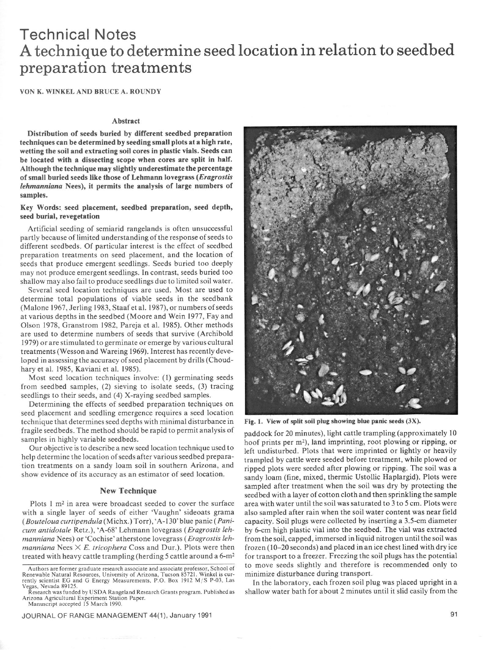# Technical Notes A technique to determine seed location in relation to seedbed preparation treatments

VON K. WINKEL AND BRUCE A. ROUNDY

### Abstract

Distribution of **seeds buried by different seedbed preparation techniques can be determined by seeding small plots at a high rate, wetting the soil and extracting** *soil cores in* **plastic vials. Seeds can**  be located with a dissecting scope when cores are split in half. **Although the technique may slightly underestimate the percentage of small buried seeds like those of Lehmann lovegrass** *(Eragrostb lehmanniana Nees),* **it permits the analysis of large numbers of samples.** 

# Key **Words: seed placement, seedbed preparation, seed depth,**  seed burial, revegetation

**Artificial** seeding of semiarid rangelands is often unsuccessful partly because of limited understanding of the response of seeds to different seedbeds. Of particular interest is the effect of seedbed preparation treatments on seed placement, and the location of seeds that produce emergent seedlings. Seeds buried ton deeply may not produce emergent seedlings. In contrast, seeds buried ton shallow may also fail to produce seedlings due to limited soil water.

Several seed location techniques are used. Most are used to determine total populations of viable seeds in the seedbank (Malone 1967, Jerling 1983, Staaf et al. 1987), or numbers of seeds at various depths in the seedbed (Moore and Wein 1977, Fay and Olson 1978, Granstrom 1982, Pareja et al. 1985). Other methods are used to determine numbers of seeds that survive (Archibald 1979) or are stimulated to germinate or emerge by various cultural treatments (Wesson and Wareing 1969). Interest has recently developed in assessing the accuracy of seed placement by drills (Choudhary et al. 1985, Kaviani et al. 1985).

Most seed location techniques involve: (1) germinating seeds from seedbed samples, (2) sieving to isolate seeds, (3) tracing seedlings to their seeds, and (4) X-raying seedbed samples.

Determining the effects of scedbed preparation techniques on seed placement and seedling emergence requires a seed location technique that determines seed depths with minimal disturbance in fragile seedbeds. The method should be rapid to permit analysis of samples in highly variable seedbeds.

Our objective is to describe a new seed location technique used to help determine the location of seeds after various seedbed preparation treatments on a sandy loam soil in southern Arizona, and show evidence of its accuracy as an estimator of seed location.

# New **Technique**

Plots  $1 \text{ m}^2$  in area were broadcast seeded to cover the surface with a single layer of seeds of either 'Vaughn' sideoats grama *(Bouteloua* curripendula(Michx.) Torr), 'A-l3O'blue panic *(Pani*cum antidotale Retz.), 'A-68' Lehmann lovegrass *(Eragrostis lehmanniana Nees) or* 'Cochise'atherstone lovegrass *(Eragrostis leh-* $$ treated with heavy cattle trampling (herding 5 cattle around a 6-m2



Fig. 1. View of split soil plug showing blue panic seeds (3X).

paddock for 20 minutes), light cattle trampling (approximately IO hoof prints per  $m^2$ ), land imprinting, root plowing or ripping, or left undisturbed. Plots that were imprinted or lightly or heavily trampled by cattle were seeded before treatment, while plowed or ripped plots were seeded after plowing or ripping. The soil was a sandy loam (fine, mixed, thermic Ustollic Haplargid). Plots were sampled after treatment when the soil was dry by protecting the seedbed with a layer of cotton cloth and then sprinkling the sample area with water until the soil was saturated to 3 to 5 cm. Plots were also sampled after rain when the soil water content was near field capacity. Soil plugs were collected by inserting a 3.5.cm diameter by 6-cm high plastic **vial into** the **seedbed. The** vial was extracted from the soil, capped, immersed in liquid nitrogen until the soil was frozen (10-20 seconds) and placed in an ice chest lined with dry ice for transport to a freezer. Freezing the soil plugs has the potential to move seeds slightly and therefore is recommended only to minimize disturbance during transport.

In the laboratory, each frozen soil plug was placed upright in a shallow water bath for about 2 minutes until it slid easily from the

Authors are former graduate research associate and associate professor, School of Renewable Natural Resources, University of Arizona, Tucson 85721. Winkel is currently scientist EG and G Energy Measurements, P.O. Box 1912 M/S P-03, Las Vegas, Nevada 89125.<br>Research was funded by USDA Rangeland Research Grants program. Published as

Arizona Agricultural Experiment Station Paper.<br>Manuscript accepted 15 March 1990.